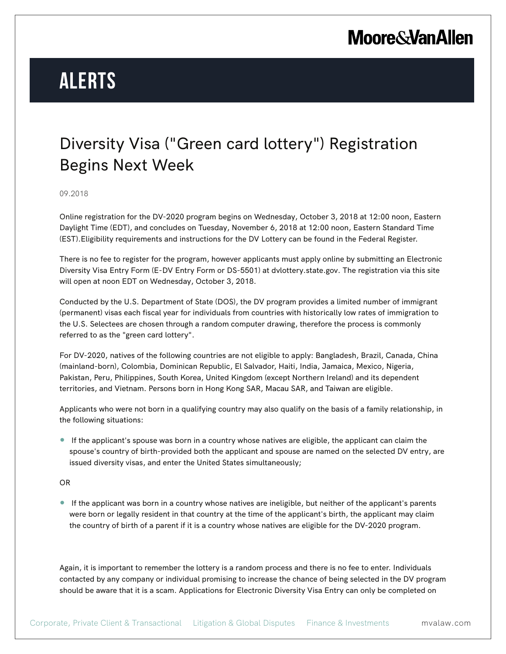# **Moore & Van Allen**

# **Alerts**

### Diversity Visa ("Green card lottery") Registration Begins Next Week

#### 09.2018

Online registration for the DV-2020 program begins on Wednesday, October 3, 2018 at 12:00 noon, Eastern Daylight Time (EDT), and concludes on Tuesday, November 6, 2018 at 12:00 noon, Eastern Standard Time (EST).Eligibility requirements and instructions for the DV Lottery can be found in the Federal Register.

There is no fee to register for the program, however applicants must apply online by submitting an Electronic Diversity Visa Entry Form (E-DV Entry Form or DS-5501) at dvlottery.state.gov. The registration via this site will open at noon EDT on Wednesday, October 3, 2018.

Conducted by the U.S. Department of State (DOS), the DV program provides a limited number of immigrant (permanent) visas each fiscal year for individuals from countries with historically low rates of immigration to the U.S. Selectees are chosen through a random computer drawing, therefore the process is commonly referred to as the "green card lottery".

For DV-2020, natives of the following countries are not eligible to apply: Bangladesh, Brazil, Canada, China (mainland-born), Colombia, Dominican Republic, El Salvador, Haiti, India, Jamaica, Mexico, Nigeria, Pakistan, Peru, Philippines, South Korea, United Kingdom (except Northern Ireland) and its dependent territories, and Vietnam. Persons born in Hong Kong SAR, Macau SAR, and Taiwan are eligible.

Applicants who were not born in a qualifying country may also qualify on the basis of a family relationship, in the following situations:

● If the applicant's spouse was born in a country whose natives are eligible, the applicant can claim the spouse's country of birth-provided both the applicant and spouse are named on the selected DV entry, are issued diversity visas, and enter the United States simultaneously;

#### OR

● If the applicant was born in a country whose natives are ineligible, but neither of the applicant's parents were born or legally resident in that country at the time of the applicant's birth, the applicant may claim the country of birth of a parent if it is a country whose natives are eligible for the DV-2020 program.

Again, it is important to remember the lottery is a random process and there is no fee to enter. Individuals contacted by any company or individual promising to increase the chance of being selected in the DV program should be aware that it is a scam. Applications for Electronic Diversity Visa Entry can only be completed on